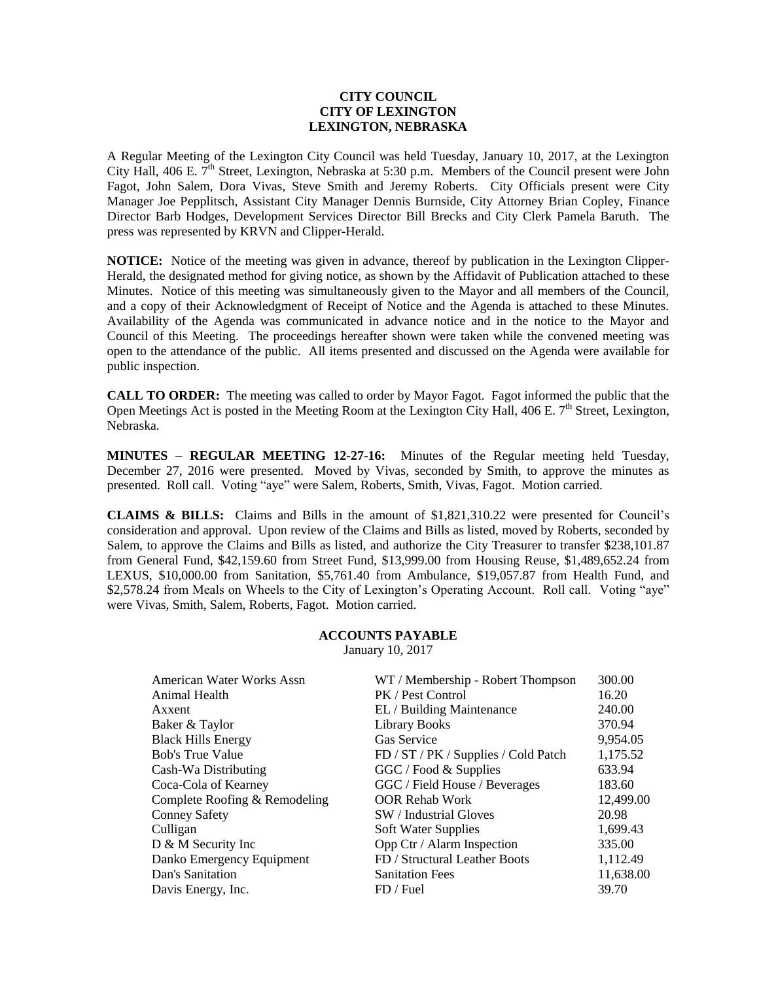# **CITY COUNCIL CITY OF LEXINGTON LEXINGTON, NEBRASKA**

A Regular Meeting of the Lexington City Council was held Tuesday, January 10, 2017, at the Lexington City Hall, 406 E. 7<sup>th</sup> Street, Lexington, Nebraska at 5:30 p.m. Members of the Council present were John Fagot, John Salem, Dora Vivas, Steve Smith and Jeremy Roberts. City Officials present were City Manager Joe Pepplitsch, Assistant City Manager Dennis Burnside, City Attorney Brian Copley, Finance Director Barb Hodges, Development Services Director Bill Brecks and City Clerk Pamela Baruth. The press was represented by KRVN and Clipper-Herald.

**NOTICE:** Notice of the meeting was given in advance, thereof by publication in the Lexington Clipper-Herald, the designated method for giving notice, as shown by the Affidavit of Publication attached to these Minutes. Notice of this meeting was simultaneously given to the Mayor and all members of the Council, and a copy of their Acknowledgment of Receipt of Notice and the Agenda is attached to these Minutes. Availability of the Agenda was communicated in advance notice and in the notice to the Mayor and Council of this Meeting. The proceedings hereafter shown were taken while the convened meeting was open to the attendance of the public. All items presented and discussed on the Agenda were available for public inspection.

**CALL TO ORDER:** The meeting was called to order by Mayor Fagot. Fagot informed the public that the Open Meetings Act is posted in the Meeting Room at the Lexington City Hall,  $406$  E.  $7<sup>th</sup>$  Street, Lexington, Nebraska.

**MINUTES – REGULAR MEETING 12-27-16:** Minutes of the Regular meeting held Tuesday, December 27, 2016 were presented. Moved by Vivas, seconded by Smith, to approve the minutes as presented. Roll call. Voting "aye" were Salem, Roberts, Smith, Vivas, Fagot. Motion carried.

**CLAIMS & BILLS:** Claims and Bills in the amount of \$1,821,310.22 were presented for Council's consideration and approval. Upon review of the Claims and Bills as listed, moved by Roberts, seconded by Salem, to approve the Claims and Bills as listed, and authorize the City Treasurer to transfer \$238,101.87 from General Fund, \$42,159.60 from Street Fund, \$13,999.00 from Housing Reuse, \$1,489,652.24 from LEXUS, \$10,000.00 from Sanitation, \$5,761.40 from Ambulance, \$19,057.87 from Health Fund, and \$2,578.24 from Meals on Wheels to the City of Lexington's Operating Account. Roll call. Voting "aye" were Vivas, Smith, Salem, Roberts, Fagot. Motion carried.

## **ACCOUNTS PAYABLE** January 10, 2017

| American Water Works Assn<br>Animal Health | WT / Membership - Robert Thompson<br>PK / Pest Control | 300.00<br>16.20 |
|--------------------------------------------|--------------------------------------------------------|-----------------|
| Axxent                                     | EL / Building Maintenance                              | 240.00          |
| Baker & Taylor                             | <b>Library Books</b>                                   | 370.94          |
| <b>Black Hills Energy</b>                  | <b>Gas Service</b>                                     | 9,954.05        |
| <b>Bob's True Value</b>                    | FD / ST / PK / Supplies / Cold Patch                   | 1,175.52        |
| Cash-Wa Distributing                       | GGC / Food & Supplies                                  | 633.94          |
| Coca-Cola of Kearney                       | GGC / Field House / Beverages                          | 183.60          |
| Complete Roofing & Remodeling              | <b>OOR Rehab Work</b>                                  | 12,499.00       |
| <b>Conney Safety</b>                       | SW / Industrial Gloves                                 | 20.98           |
| Culligan                                   | Soft Water Supplies                                    | 1,699.43        |
| D & M Security Inc                         | Opp Ctr / Alarm Inspection                             | 335.00          |
| Danko Emergency Equipment                  | FD / Structural Leather Boots                          | 1,112.49        |
| Dan's Sanitation                           | <b>Sanitation Fees</b>                                 | 11,638.00       |
| Davis Energy, Inc.                         | FD / Fuel                                              | 39.70           |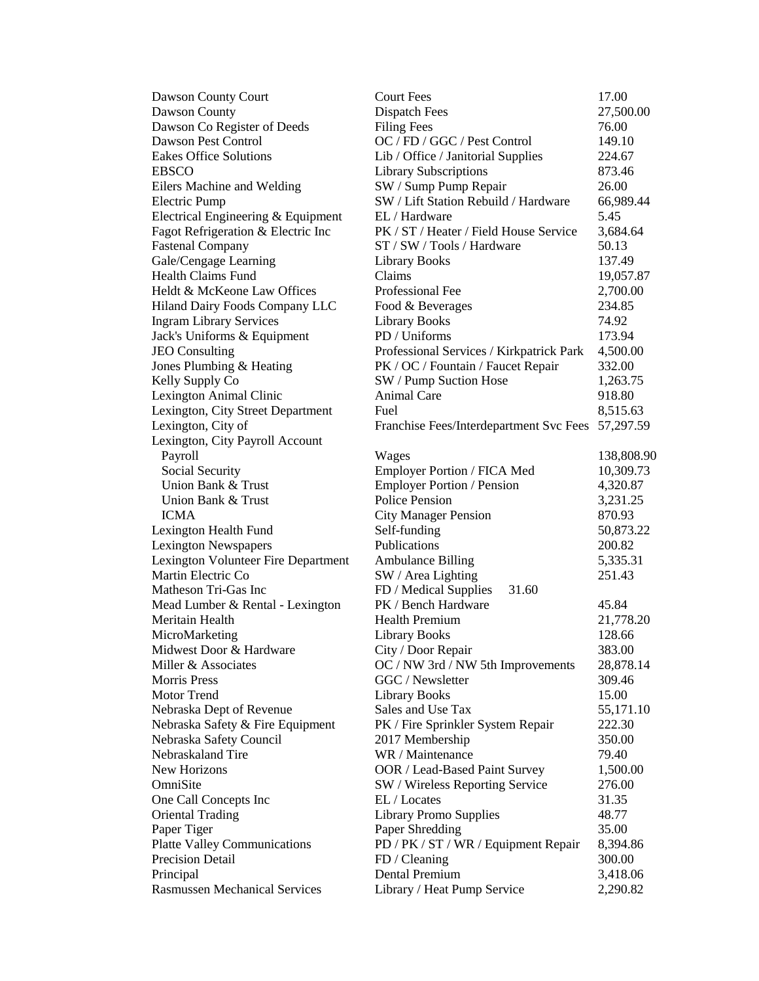| Dawson County Court                  | <b>Court Fees</b>                                 | 17.00      |
|--------------------------------------|---------------------------------------------------|------------|
| Dawson County                        | <b>Dispatch Fees</b>                              | 27,500.00  |
| Dawson Co Register of Deeds          | <b>Filing Fees</b>                                | 76.00      |
| Dawson Pest Control                  | OC / FD / GGC / Pest Control                      | 149.10     |
| <b>Eakes Office Solutions</b>        | Lib / Office / Janitorial Supplies                | 224.67     |
| <b>EBSCO</b>                         | <b>Library Subscriptions</b>                      | 873.46     |
| Eilers Machine and Welding           | SW / Sump Pump Repair                             | 26.00      |
| Electric Pump                        | SW / Lift Station Rebuild / Hardware              | 66,989.44  |
| Electrical Engineering & Equipment   | EL / Hardware                                     | 5.45       |
| Fagot Refrigeration & Electric Inc   | PK / ST / Heater / Field House Service            | 3,684.64   |
| <b>Fastenal Company</b>              | ST / SW / Tools / Hardware                        | 50.13      |
| Gale/Cengage Learning                | <b>Library Books</b>                              | 137.49     |
| <b>Health Claims Fund</b>            | Claims                                            | 19,057.87  |
| Heldt & McKeone Law Offices          | Professional Fee                                  | 2,700.00   |
| Hiland Dairy Foods Company LLC       | Food & Beverages                                  | 234.85     |
| <b>Ingram Library Services</b>       | <b>Library Books</b>                              | 74.92      |
| Jack's Uniforms & Equipment          | PD / Uniforms                                     | 173.94     |
| <b>JEO</b> Consulting                | Professional Services / Kirkpatrick Park          | 4,500.00   |
| Jones Plumbing & Heating             | PK / OC / Fountain / Faucet Repair                | 332.00     |
| Kelly Supply Co                      | SW / Pump Suction Hose                            | 1,263.75   |
| Lexington Animal Clinic              | Animal Care                                       | 918.80     |
| Lexington, City Street Department    | Fuel                                              | 8,515.63   |
| Lexington, City of                   | Franchise Fees/Interdepartment Svc Fees 57,297.59 |            |
| Lexington, City Payroll Account      |                                                   |            |
| Payroll                              | Wages                                             | 138,808.90 |
| Social Security                      | Employer Portion / FICA Med                       | 10,309.73  |
| Union Bank & Trust                   | <b>Employer Portion / Pension</b>                 | 4,320.87   |
| Union Bank & Trust                   | <b>Police Pension</b>                             | 3,231.25   |
| <b>ICMA</b>                          | <b>City Manager Pension</b>                       | 870.93     |
| Lexington Health Fund                | Self-funding                                      | 50,873.22  |
| Lexington Newspapers                 | Publications                                      | 200.82     |
| Lexington Volunteer Fire Department  | <b>Ambulance Billing</b>                          | 5,335.31   |
| Martin Electric Co                   | SW / Area Lighting                                | 251.43     |
| Matheson Tri-Gas Inc                 | FD / Medical Supplies<br>31.60                    |            |
| Mead Lumber & Rental - Lexington     | PK / Bench Hardware                               | 45.84      |
| Meritain Health                      | <b>Health Premium</b>                             | 21,778.20  |
| MicroMarketing                       | <b>Library Books</b>                              | 128.66     |
| Midwest Door & Hardware              | City / Door Repair                                | 383.00     |
| Miller & Associates                  | OC / NW 3rd / NW 5th Improvements                 | 28,878.14  |
| <b>Morris Press</b>                  | GGC / Newsletter                                  | 309.46     |
| <b>Motor Trend</b>                   | <b>Library Books</b>                              | 15.00      |
| Nebraska Dept of Revenue             | Sales and Use Tax                                 | 55,171.10  |
| Nebraska Safety & Fire Equipment     | PK / Fire Sprinkler System Repair                 | 222.30     |
| Nebraska Safety Council              | 2017 Membership                                   | 350.00     |
| Nebraskaland Tire                    | WR / Maintenance                                  | 79.40      |
| <b>New Horizons</b>                  | OOR / Lead-Based Paint Survey                     | 1,500.00   |
| OmniSite                             | SW / Wireless Reporting Service                   | 276.00     |
| One Call Concepts Inc                | EL / Locates                                      | 31.35      |
| <b>Oriental Trading</b>              | <b>Library Promo Supplies</b>                     | 48.77      |
| Paper Tiger                          | Paper Shredding                                   | 35.00      |
| <b>Platte Valley Communications</b>  | PD / PK / ST / WR / Equipment Repair              | 8,394.86   |
| <b>Precision Detail</b>              | FD / Cleaning                                     | 300.00     |
| Principal                            | Dental Premium                                    | 3,418.06   |
| <b>Rasmussen Mechanical Services</b> | Library / Heat Pump Service                       | 2,290.82   |
|                                      |                                                   |            |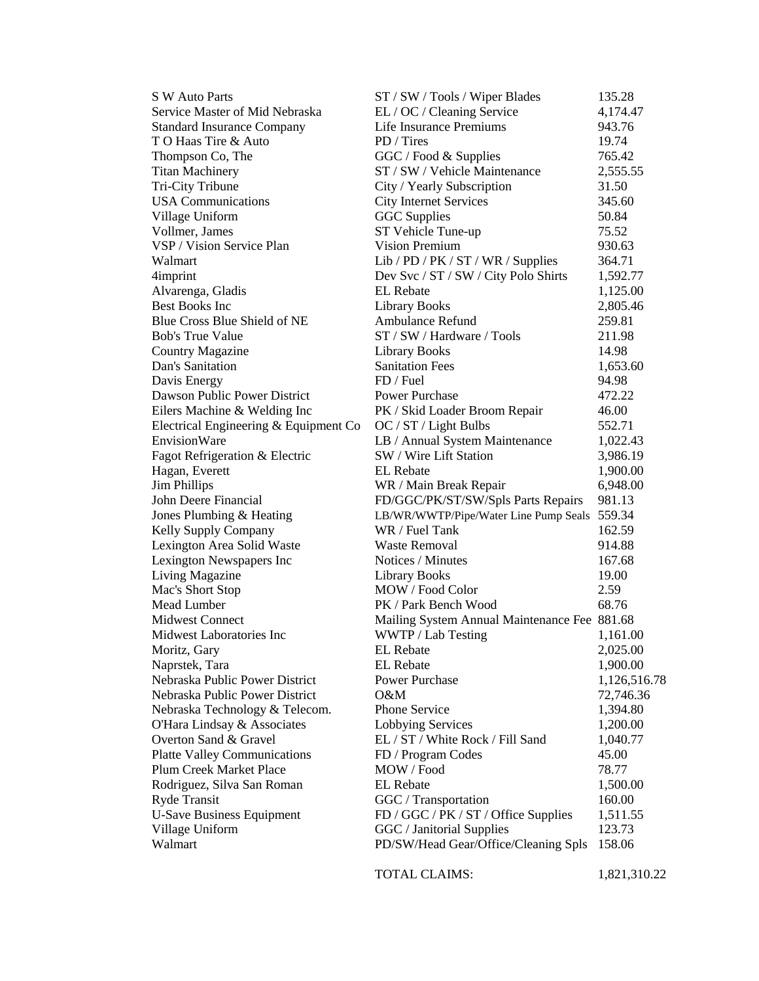| <b>S W Auto Parts</b>                 | ST / SW / Tools / Wiper Blades               | 135.28       |
|---------------------------------------|----------------------------------------------|--------------|
| Service Master of Mid Nebraska        | EL / OC / Cleaning Service                   | 4,174.47     |
| <b>Standard Insurance Company</b>     | Life Insurance Premiums                      | 943.76       |
| TO Haas Tire & Auto                   | PD / Tires                                   | 19.74        |
| Thompson Co, The                      | GGC / Food & Supplies                        | 765.42       |
| <b>Titan Machinery</b>                | ST / SW / Vehicle Maintenance                | 2,555.55     |
| Tri-City Tribune                      | City / Yearly Subscription                   | 31.50        |
| <b>USA Communications</b>             | <b>City Internet Services</b>                | 345.60       |
| Village Uniform                       | <b>GGC</b> Supplies                          | 50.84        |
| Vollmer, James                        | ST Vehicle Tune-up                           | 75.52        |
| VSP / Vision Service Plan             | Vision Premium                               | 930.63       |
| Walmart                               | Lib / PD / PK / ST / WR / Supplies           | 364.71       |
| 4imprint                              | Dev Svc / ST / SW / City Polo Shirts         | 1,592.77     |
| Alvarenga, Gladis                     | <b>EL</b> Rebate                             | 1,125.00     |
| <b>Best Books Inc</b>                 | <b>Library Books</b>                         | 2,805.46     |
| Blue Cross Blue Shield of NE          | Ambulance Refund                             | 259.81       |
| <b>Bob's True Value</b>               | ST / SW / Hardware / Tools                   | 211.98       |
| <b>Country Magazine</b>               | <b>Library Books</b>                         | 14.98        |
| Dan's Sanitation                      | <b>Sanitation Fees</b>                       | 1,653.60     |
| Davis Energy                          | FD / Fuel                                    | 94.98        |
| Dawson Public Power District          | Power Purchase                               | 472.22       |
| Eilers Machine & Welding Inc          | PK / Skid Loader Broom Repair                | 46.00        |
| Electrical Engineering & Equipment Co | OC / ST / Light Bulbs                        | 552.71       |
| EnvisionWare                          | LB / Annual System Maintenance               | 1,022.43     |
| Fagot Refrigeration & Electric        | SW / Wire Lift Station                       | 3,986.19     |
| Hagan, Everett                        | <b>EL</b> Rebate                             | 1,900.00     |
| <b>Jim Phillips</b>                   | WR / Main Break Repair                       | 6,948.00     |
| John Deere Financial                  | FD/GGC/PK/ST/SW/Spls Parts Repairs           | 981.13       |
| Jones Plumbing & Heating              | LB/WR/WWTP/Pipe/Water Line Pump Seals        | 559.34       |
| Kelly Supply Company                  | WR / Fuel Tank                               | 162.59       |
| Lexington Area Solid Waste            | <b>Waste Removal</b>                         | 914.88       |
| Lexington Newspapers Inc              | Notices / Minutes                            | 167.68       |
| <b>Living Magazine</b>                | <b>Library Books</b>                         | 19.00        |
| Mac's Short Stop                      | MOW / Food Color                             | 2.59         |
| Mead Lumber                           | PK / Park Bench Wood                         | 68.76        |
| <b>Midwest Connect</b>                | Mailing System Annual Maintenance Fee 881.68 |              |
| Midwest Laboratories Inc              | WWTP / Lab Testing                           | 1,161.00     |
| Moritz, Gary                          | <b>EL</b> Rebate                             | 2,025.00     |
| Naprstek, Tara                        | <b>EL</b> Rebate                             | 1,900.00     |
| Nebraska Public Power District        | <b>Power Purchase</b>                        | 1,126,516.78 |
| Nebraska Public Power District        | $O\&M$                                       | 72,746.36    |
| Nebraska Technology & Telecom.        | <b>Phone Service</b>                         | 1,394.80     |
| O'Hara Lindsay & Associates           | Lobbying Services                            | 1,200.00     |
| Overton Sand & Gravel                 | EL / ST / White Rock / Fill Sand             | 1,040.77     |
| <b>Platte Valley Communications</b>   | FD / Program Codes                           | 45.00        |
| <b>Plum Creek Market Place</b>        | MOW / Food                                   | 78.77        |
| Rodriguez, Silva San Roman            | <b>EL</b> Rebate                             | 1,500.00     |
| <b>Ryde Transit</b>                   | GGC / Transportation                         | 160.00       |
| <b>U-Save Business Equipment</b>      | FD / GGC / PK / ST / Office Supplies         | 1,511.55     |
| Village Uniform                       | GGC / Janitorial Supplies                    | 123.73       |
| Walmart                               | PD/SW/Head Gear/Office/Cleaning Spls         | 158.06       |
|                                       |                                              |              |

TOTAL CLAIMS: 1,821,310.22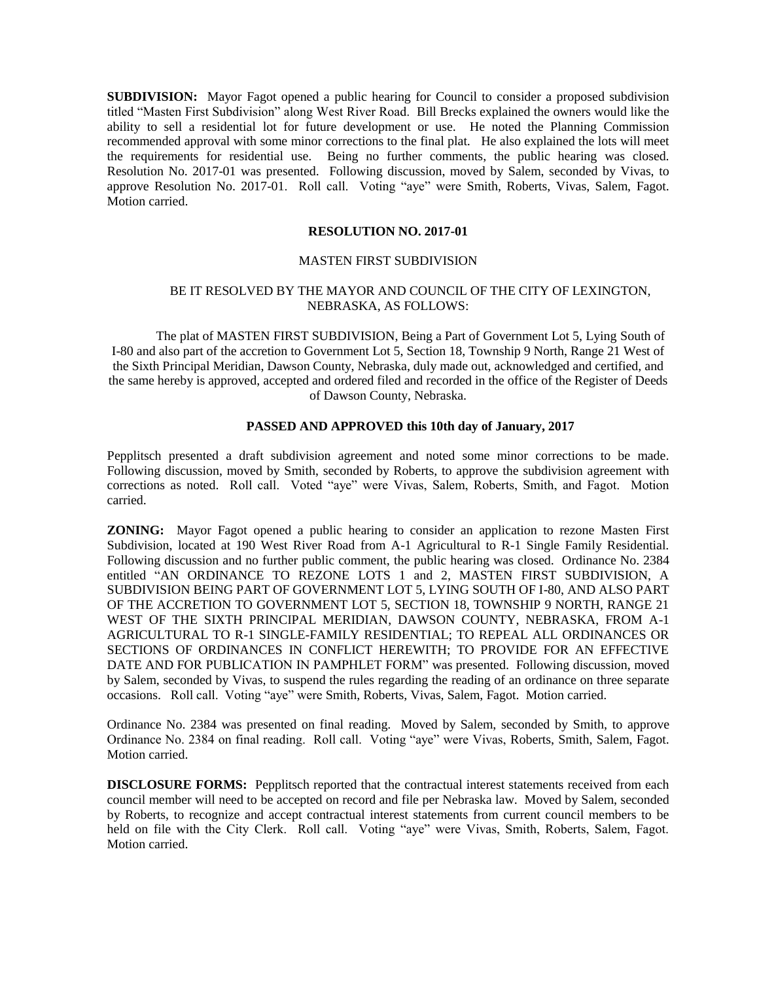**SUBDIVISION:** Mayor Fagot opened a public hearing for Council to consider a proposed subdivision titled "Masten First Subdivision" along West River Road. Bill Brecks explained the owners would like the ability to sell a residential lot for future development or use. He noted the Planning Commission recommended approval with some minor corrections to the final plat. He also explained the lots will meet the requirements for residential use. Being no further comments, the public hearing was closed. Resolution No. 2017-01 was presented. Following discussion, moved by Salem, seconded by Vivas, to approve Resolution No. 2017-01. Roll call. Voting "aye" were Smith, Roberts, Vivas, Salem, Fagot. Motion carried.

# **RESOLUTION NO. 2017-01**

#### MASTEN FIRST SUBDIVISION

## BE IT RESOLVED BY THE MAYOR AND COUNCIL OF THE CITY OF LEXINGTON, NEBRASKA, AS FOLLOWS:

The plat of MASTEN FIRST SUBDIVISION, Being a Part of Government Lot 5, Lying South of I-80 and also part of the accretion to Government Lot 5, Section 18, Township 9 North, Range 21 West of the Sixth Principal Meridian, Dawson County, Nebraska, duly made out, acknowledged and certified, and the same hereby is approved, accepted and ordered filed and recorded in the office of the Register of Deeds of Dawson County, Nebraska.

## **PASSED AND APPROVED this 10th day of January, 2017**

Pepplitsch presented a draft subdivision agreement and noted some minor corrections to be made. Following discussion, moved by Smith, seconded by Roberts, to approve the subdivision agreement with corrections as noted. Roll call. Voted "aye" were Vivas, Salem, Roberts, Smith, and Fagot. Motion carried.

**ZONING:** Mayor Fagot opened a public hearing to consider an application to rezone Masten First Subdivision, located at 190 West River Road from A-1 Agricultural to R-1 Single Family Residential. Following discussion and no further public comment, the public hearing was closed. Ordinance No. 2384 entitled "AN ORDINANCE TO REZONE LOTS 1 and 2, MASTEN FIRST SUBDIVISION, A SUBDIVISION BEING PART OF GOVERNMENT LOT 5, LYING SOUTH OF I-80, AND ALSO PART OF THE ACCRETION TO GOVERNMENT LOT 5, SECTION 18, TOWNSHIP 9 NORTH, RANGE 21 WEST OF THE SIXTH PRINCIPAL MERIDIAN, DAWSON COUNTY, NEBRASKA, FROM A-1 AGRICULTURAL TO R-1 SINGLE-FAMILY RESIDENTIAL; TO REPEAL ALL ORDINANCES OR SECTIONS OF ORDINANCES IN CONFLICT HEREWITH; TO PROVIDE FOR AN EFFECTIVE DATE AND FOR PUBLICATION IN PAMPHLET FORM" was presented. Following discussion, moved by Salem, seconded by Vivas, to suspend the rules regarding the reading of an ordinance on three separate occasions. Roll call. Voting "aye" were Smith, Roberts, Vivas, Salem, Fagot. Motion carried.

Ordinance No. 2384 was presented on final reading. Moved by Salem, seconded by Smith, to approve Ordinance No. 2384 on final reading. Roll call. Voting "aye" were Vivas, Roberts, Smith, Salem, Fagot. Motion carried.

**DISCLOSURE FORMS:** Pepplitsch reported that the contractual interest statements received from each council member will need to be accepted on record and file per Nebraska law. Moved by Salem, seconded by Roberts, to recognize and accept contractual interest statements from current council members to be held on file with the City Clerk. Roll call. Voting "aye" were Vivas, Smith, Roberts, Salem, Fagot. Motion carried.